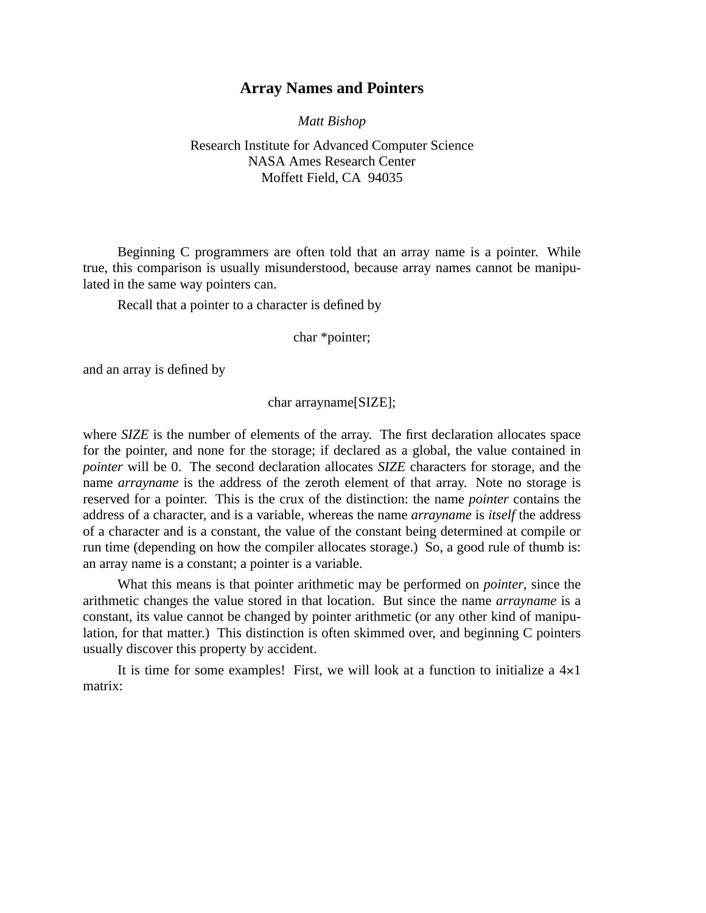## **Array Names and Pointers**

*Matt Bishop*

## Research Institute for Advanced Computer Science NASA Ames Research Center Moffett Field, CA 94035

Beginning C programmers are often told that an array name is a pointer. While true, this comparison is usually misunderstood, because array names cannot be manipulated in the same way pointers can.

Recall that a pointer to a character is defined by

char \*pointer;

and an array is defined by

## char arrayname[SIZE];

where *SIZE* is the number of elements of the array. The first declaration allocates space for the pointer, and none for the storage; if declared as a global, the value contained in *pointer* will be 0. The second declaration allocates *SIZE* characters for storage, and the name *arrayname* is the address of the zeroth element of that array. Note no storage is reserved for a pointer. This is the crux of the distinction: the name *pointer* contains the address of a character, and is a variable, whereas the name *arrayname* is *itself* the address of a character and is a constant, the value of the constant being determined at compile or run time (depending on how the compiler allocates storage.) So, a good rule of thumb is: an array name is a constant; a pointer is a variable.

What this means is that pointer arithmetic may be performed on *pointer*, since the arithmetic changes the value stored in that location. But since the name *arrayname* is a constant, its value cannot be changed by pointer arithmetic (or any other kind of manipulation, for that matter.) This distinction is often skimmed over, and beginning C pointers usually discover this property by accident.

It is time for some examples! First, we will look at a function to initialize a  $4\times1$ matrix: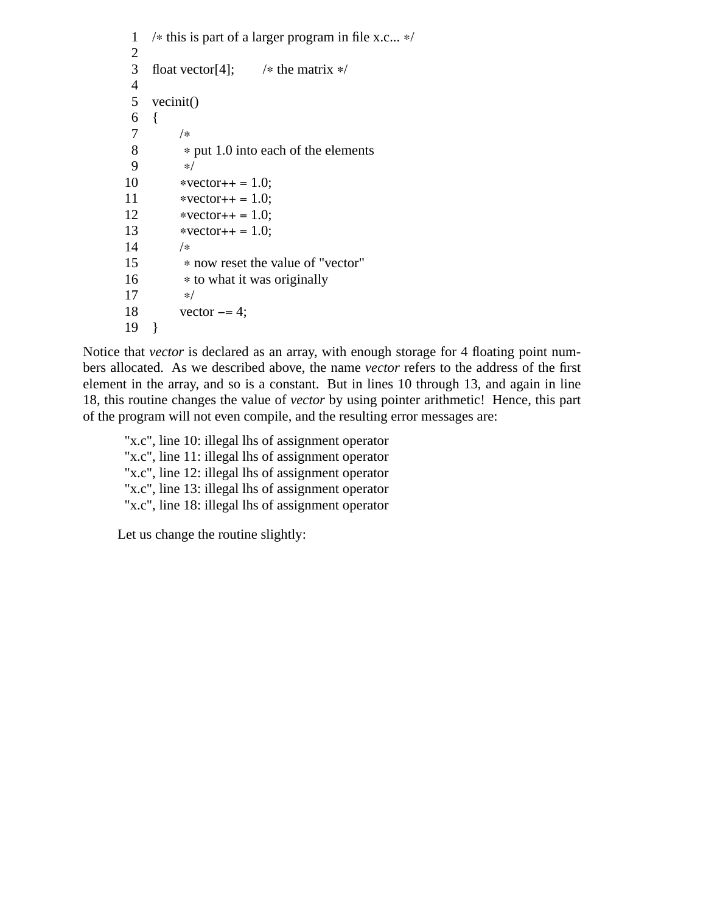```
1 /∗ this is part of a larger program in file x.c... ∗/
 2
 3 float vector[4]; /∗ the matrix ∗/
 4
 5 vecinit()
 \begin{matrix} 6 & \{ \\ 7 & \{ \end{matrix}7 /∗
 8 * put 1.0 into each of the elements 9 \times9 ∗/
10 *vector++ = 1.0;11 *vector++ = 1.0;12 ∗vector++ = 1.0;
           *vector++ = 1.0;14 /∗
15 • now reset the value of "vector"<br>16 • to what it was originally
            16 ∗ to what it was originally
17 ∗/<br>18 vec
           vector - = 4;
19 }
```
Notice that *vector* is declared as an array, with enough storage for 4 floating point numbers allocated. As we described above, the name *vector* refers to the address of the first element in the array, and so is a constant. But in lines 10 through 13, and again in line 18, this routine changes the value of *vector* by using pointer arithmetic! Hence, this part of the program will not even compile, and the resulting error messages are:

"x.c", line 10: illegal lhs of assignment operator "x.c", line 11: illegal lhs of assignment operator "x.c", line 12: illegal lhs of assignment operator "x.c", line 13: illegal lhs of assignment operator "x.c", line 18: illegal lhs of assignment operator

Let us change the routine slightly: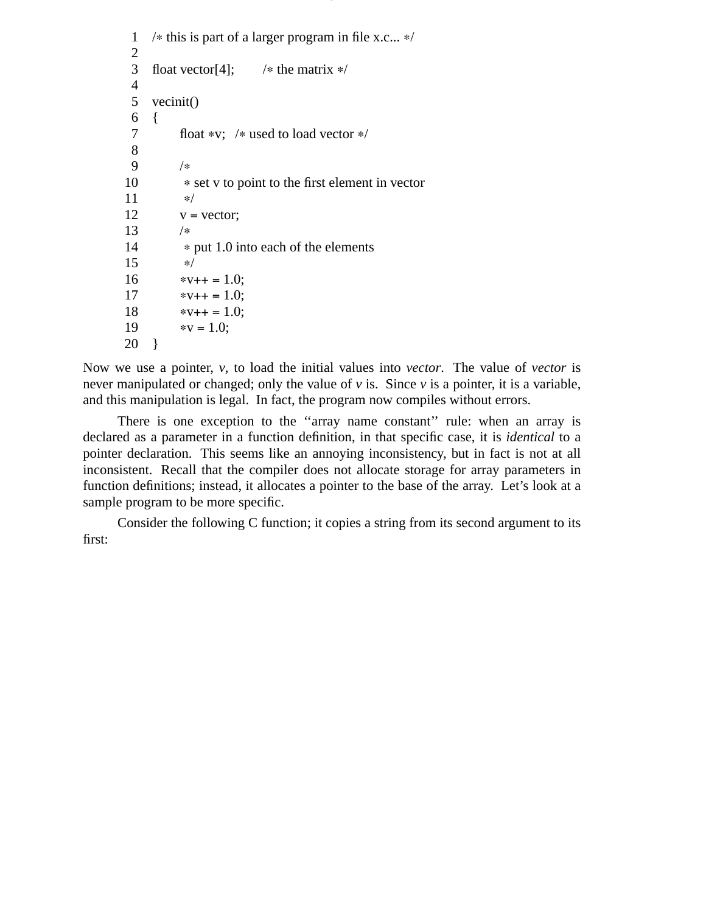```
1 /∗ this is part of a larger program in file x.c... ∗/
 2
 3 float vector[4]; /* the matrix */4
 5 vecinit()
 \begin{matrix} 6 & \{ \\ 7 & \{ \end{matrix}float *v; /* used to load vector */
 8
 9 /∗
10 ∗ set v to point to the first element in vector
11 ∗/
12 v = vector;13 /∗
14 • • put 1.0 into each of the elements
\begin{array}{ccc} 15 & & * / \\ 16 & & * \text{v} \end{array}*v++ = 1.0;17 *v++ = 1.0;
18 *v++ = 1.0;
19 *v = 1.0;
20 }
```
Now we use a pointer, *v*, to load the initial values into *vector*. The value of *vector* is never manipulated or changed; only the value of  $\nu$  is. Since  $\nu$  is a pointer, it is a variable, and this manipulation is legal. In fact, the program now compiles without errors.

7.

There is one exception to the "array name constant" rule: when an array is declared as a parameter in a function definition, in that specific case, it is *identical* to a pointer declaration. This seems like an annoying inconsistency, but in fact is not at all inconsistent. Recall that the compiler does not allocate storage for array parameters in function definitions; instead, it allocates a pointer to the base of the array. Let's look at a sample program to be more specific.

Consider the following C function; it copies a string from its second argument to its first: